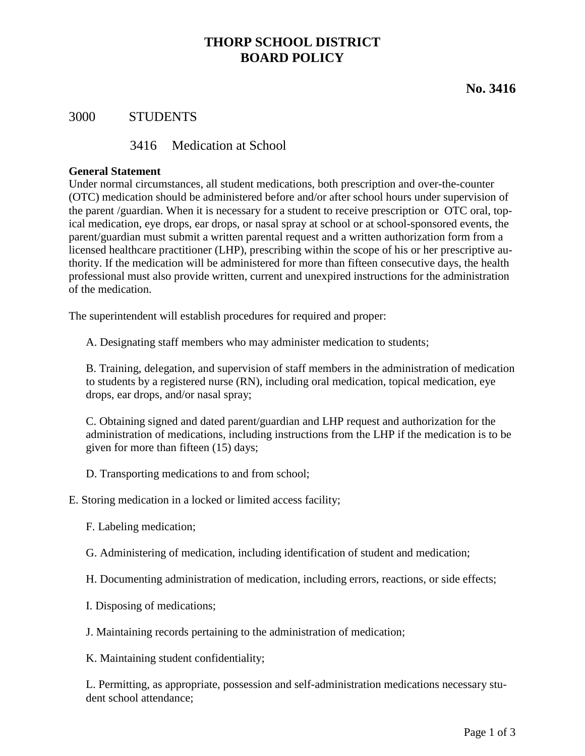# **THORP SCHOOL DISTRICT BOARD POLICY**

# **No. 3416**

## 3000 STUDENTS

### 3416 Medication at School

#### **General Statement**

Under normal circumstances, all student medications, both prescription and over-the-counter (OTC) medication should be administered before and/or after school hours under supervision of the parent /guardian. When it is necessary for a student to receive prescription or OTC oral, topical medication, eye drops, ear drops, or nasal spray at school or at school-sponsored events, the parent/guardian must submit a written parental request and a written authorization form from a licensed healthcare practitioner (LHP), prescribing within the scope of his or her prescriptive authority. If the medication will be administered for more than fifteen consecutive days, the health professional must also provide written, current and unexpired instructions for the administration of the medication.

The superintendent will establish procedures for required and proper:

A. Designating staff members who may administer medication to students;

B. Training, delegation, and supervision of staff members in the administration of medication to students by a registered nurse (RN), including oral medication, topical medication, eye drops, ear drops, and/or nasal spray;

C. Obtaining signed and dated parent/guardian and LHP request and authorization for the administration of medications, including instructions from the LHP if the medication is to be given for more than fifteen (15) days;

D. Transporting medications to and from school;

E. Storing medication in a locked or limited access facility;

- F. Labeling medication;
- G. Administering of medication, including identification of student and medication;
- H. Documenting administration of medication, including errors, reactions, or side effects;
- I. Disposing of medications;
- J. Maintaining records pertaining to the administration of medication;

K. Maintaining student confidentiality;

L. Permitting, as appropriate, possession and self-administration medications necessary student school attendance;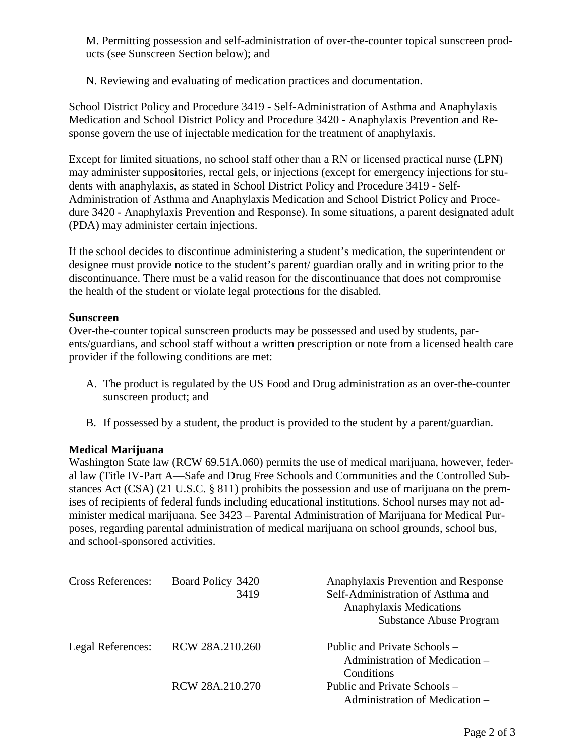M. Permitting possession and self-administration of over-the-counter topical sunscreen products (see Sunscreen Section below); and

N. Reviewing and evaluating of medication practices and documentation.

School District Policy and Procedure 3419 - Self-Administration of Asthma and Anaphylaxis Medication and School District Policy and Procedure 3420 - Anaphylaxis Prevention and Response govern the use of injectable medication for the treatment of anaphylaxis.

Except for limited situations, no school staff other than a RN or licensed practical nurse (LPN) may administer suppositories, rectal gels, or injections (except for emergency injections for students with anaphylaxis, as stated in School District Policy and Procedure 3419 - Self-Administration of Asthma and Anaphylaxis Medication and School District Policy and Procedure 3420 - Anaphylaxis Prevention and Response). In some situations, a parent designated adult (PDA) may administer certain injections.

If the school decides to discontinue administering a student's medication, the superintendent or designee must provide notice to the student's parent/ guardian orally and in writing prior to the discontinuance. There must be a valid reason for the discontinuance that does not compromise the health of the student or violate legal protections for the disabled.

#### **Sunscreen**

Over-the-counter topical sunscreen products may be possessed and used by students, parents/guardians, and school staff without a written prescription or note from a licensed health care provider if the following conditions are met:

- A. The product is regulated by the US Food and Drug administration as an over-the-counter sunscreen product; and
- B. If possessed by a student, the product is provided to the student by a parent/guardian.

### **Medical Marijuana**

Washington State law (RCW 69.51A.060) permits the use of medical marijuana, however, federal law (Title IV-Part A—Safe and Drug Free Schools and Communities and the Controlled Substances Act (CSA) (21 U.S.C. § 811) prohibits the possession and use of marijuana on the premises of recipients of federal funds including educational institutions. School nurses may not administer medical marijuana. See 3423 – Parental Administration of Marijuana for Medical Purposes, regarding parental administration of medical marijuana on school grounds, school bus, and school-sponsored activities.

| <b>Cross References:</b> | Board Policy 3420<br>3419 | Anaphylaxis Prevention and Response<br>Self-Administration of Asthma and<br><b>Anaphylaxis Medications</b><br><b>Substance Abuse Program</b> |
|--------------------------|---------------------------|----------------------------------------------------------------------------------------------------------------------------------------------|
| Legal References:        | RCW 28A.210.260           | Public and Private Schools -<br>Administration of Medication –                                                                               |
|                          | RCW 28A.210.270           | Conditions<br>Public and Private Schools -<br>Administration of Medication –                                                                 |